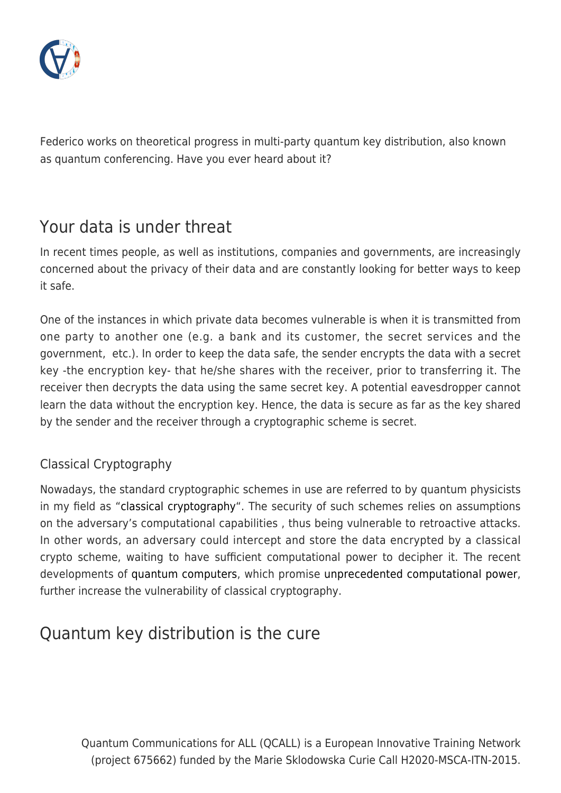

Federico works on theoretical progress in multi-party quantum key distribution, also known as quantum conferencing. Have you ever heard about it?

## Your data is under threat

In recent times people, as well as institutions, companies and governments, are increasingly concerned about the privacy of their data and are constantly looking for better ways to keep it safe.

One of the instances in which private data becomes vulnerable is when it is transmitted from one party to another one (e.g. a bank and its customer, the secret services and the government, etc.). In order to keep the data safe, the sender encrypts the data with a secret key -the encryption key- that he/she shares with the receiver, prior to transferring it. The receiver then decrypts the data using the same secret key. A potential eavesdropper cannot learn the data without the encryption key. Hence, the data is secure as far as the key shared by the sender and the receiver through a cryptographic scheme is secret.

#### Classical Cryptography

Nowadays, the standard cryptographic schemes in use are referred to by quantum physicists in my field as ["classical cryptography](https://www.geeksforgeeks.org/classical-cryptography-and-quantum-cryptography/)". The security of such schemes relies on assumptions on the adversary's computational capabilities , thus being vulnerable to retroactive attacks. In other words, an adversary could intercept and store the data encrypted by a classical crypto scheme, waiting to have sufficient computational power to decipher it. The recent developments of [quantum computers,](https://www.ibm.com/quantum-computing/learn/what-is-quantum-computing/) which promise [unprecedented computational power](https://www.telegraph.co.uk/technology/2020/01/22/googles-sundar-pichai-quantum-computing-could-end-encryption/), further increase the vulnerability of classical cryptography.

## Quantum key distribution is the cure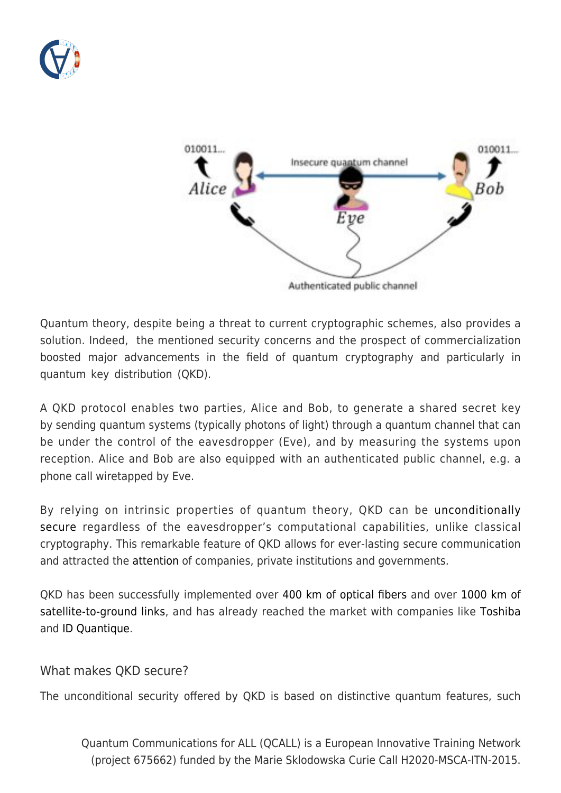



Quantum theory, despite being a threat to current cryptographic schemes, also provides a solution. Indeed, the mentioned security concerns and the prospect of commercialization boosted major advancements in the field of quantum cryptography and particularly in quantum key distribution (QKD).

A QKD protocol enables two parties, Alice and Bob, to generate a shared secret key by sending quantum systems (typically photons of light) through a quantum channel that can be under the control of the eavesdropper (Eve), and by measuring the systems upon reception. Alice and Bob are also equipped with an authenticated public channel, e.g. a phone call wiretapped by Eve.

By relying on intrinsic properties of quantum theory, QKD can be [unconditionally](https://en.wikipedia.org/wiki/Information-theoretic_security) [secure](https://en.wikipedia.org/wiki/Information-theoretic_security) regardless of the eavesdropper's computational capabilities, unlike classical cryptography. This remarkable feature of QKD allows for ever-lasting secure communication and attracted th[e attention](https://www.insidequantumtechnology.com/product/quantum-key-distribution-qkd-markets-2019-2028) of companies, private institutions and governments.

QKD has been successfully implemented over [400 km of optical fibers](https://link.aps.org/doi/10.1103/PhysRevLett.121.190502) and over [1000 km of](https://doi.org/10.1038/nature23655) [satellite-to-ground links,](https://doi.org/10.1038/nature23655) and has already reached the market with companies like [Toshiba](https://www.toshiba.eu/eu/Cambridge-Research-Laboratory/Quantum-Information/) and [ID Quantique.](https://www.idquantique.com/)

#### What makes QKD secure?

The unconditional security offered by QKD is based on distinctive quantum features, such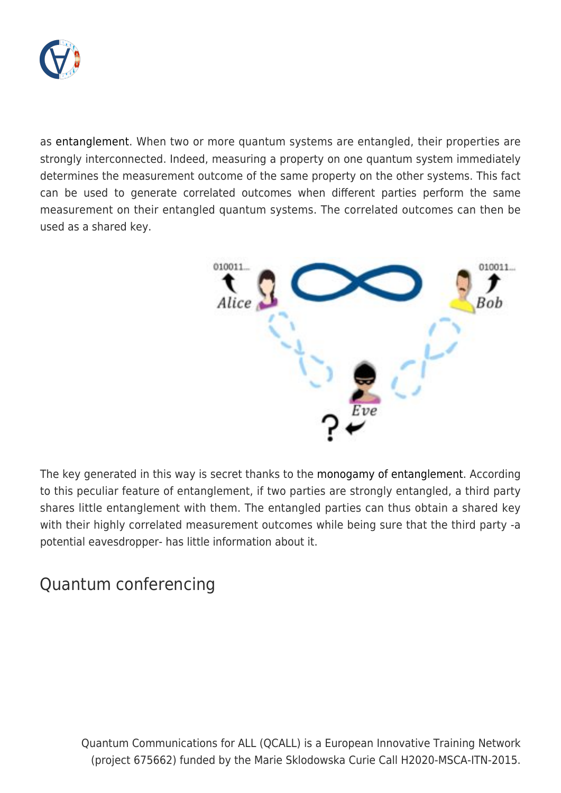

as [entanglement](https://en.wikipedia.org/wiki/Quantum_entanglement). When two or more quantum systems are entangled, their properties are strongly interconnected. Indeed, measuring a property on one quantum system immediately determines the measurement outcome of the same property on the other systems. This fact can be used to generate correlated outcomes when different parties perform the same measurement on their entangled quantum systems. The correlated outcomes can then be used as a shared key.



The key generated in this way is secret thanks to the [monogamy of entanglement.](https://link.aps.org/doi/10.1103/PhysRevLett.97.170409) According to this peculiar feature of entanglement, if two parties are strongly entangled, a third party shares little entanglement with them. The entangled parties can thus obtain a shared key with their highly correlated measurement outcomes while being sure that the third party -a potential eavesdropper- has little information about it.

## Quantum conferencing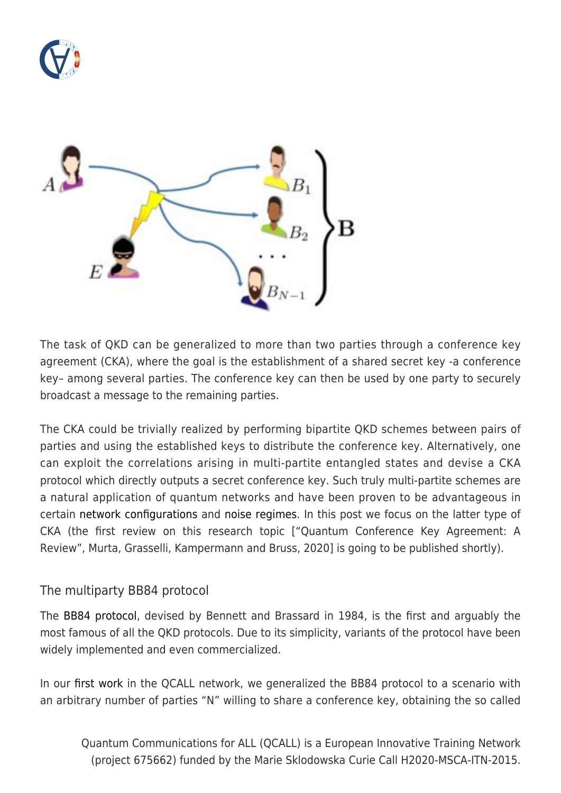



The task of QKD can be generalized to more than two parties through a conference key agreement (CKA), where the goal is the establishment of a shared secret key -a conference key– among several parties. The conference key can then be used by one party to securely broadcast a message to the remaining parties.

The CKA could be trivially realized by performing bipartite QKD schemes between pairs of parties and using the established keys to distribute the conference key. Alternatively, one can exploit the correlations arising in multi-partite entangled states and devise a CKA protocol which directly outputs a secret conference key. Such truly multi-partite schemes are a natural application of quantum networks and have been proven to be advantageous in certain [network configurations](https://doi.org/10.1088%2F1367-2630%2Faa8487) and [noise regimes](https://link.aps.org/doi/10.1103/PhysRevA.100.026302). In this post we focus on the latter type of CKA (the first review on this research topic ["Quantum Conference Key Agreement: A Review", Murta, Grasselli, Kampermann and Bruss, 2020] is going to be published shortly).

#### The multiparty BB84 protocol

The [BB84 protocol](https://en.wikipedia.org/wiki/BB84), devised by Bennett and Brassard in 1984, is the first and arguably the most famous of all the QKD protocols. Due to its simplicity, variants of the protocol have been widely implemented and even commercialized.

In our [first work](https://iopscience.iop.org/article/10.1088/1367-2630/aaec34) in the QCALL network, we generalized the BB84 protocol to a scenario with an arbitrary number of parties "N" willing to share a conference key, obtaining the so called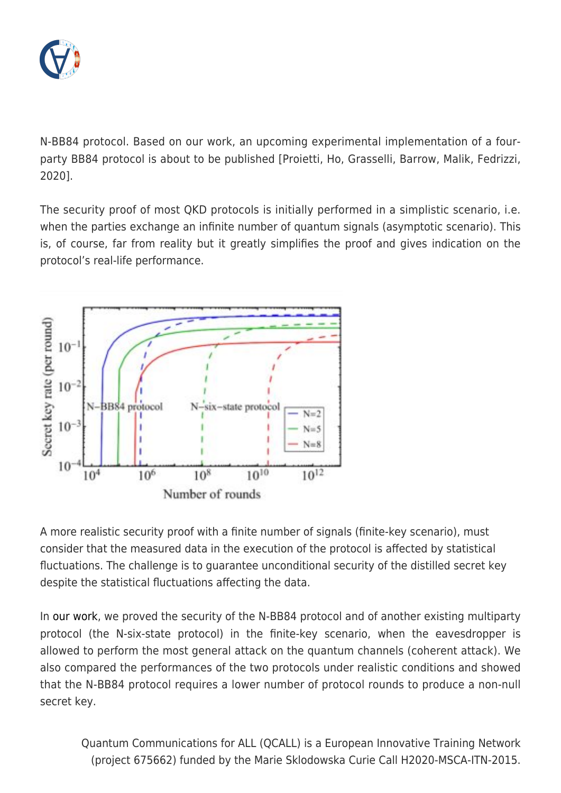

N-BB84 protocol. Based on our work, an upcoming experimental implementation of a fourparty BB84 protocol is about to be published [Proietti, Ho, Grasselli, Barrow, Malik, Fedrizzi, 2020].

The security proof of most QKD protocols is initially performed in a simplistic scenario, i.e. when the parties exchange an infinite number of quantum signals (asymptotic scenario). This is, of course, far from reality but it greatly simplifies the proof and gives indication on the protocol's real-life performance.



A more realistic security proof with a finite number of signals (finite-key scenario), must consider that the measured data in the execution of the protocol is affected by statistical fluctuations. The challenge is to guarantee unconditional security of the distilled secret key despite the statistical fluctuations affecting the data.

In [our work,](https://iopscience.iop.org/article/10.1088/1367-2630/aaec34) we proved the security of the N-BB84 protocol and of another existing multiparty protocol (the N-six-state protocol) in the finite-key scenario, when the eavesdropper is allowed to perform the most general attack on the quantum channels (coherent attack). We also compared the performances of the two protocols under realistic conditions and showed that the N-BB84 protocol requires a lower number of protocol rounds to produce a non-null secret key.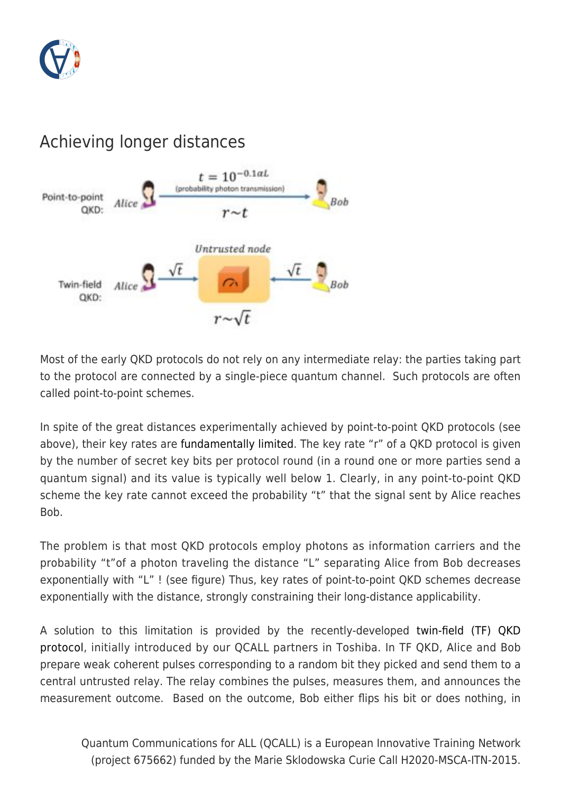

# Achieving longer distances



Most of the early QKD protocols do not rely on any intermediate relay: the parties taking part to the protocol are connected by a single-piece quantum channel. Such protocols are often called point-to-point schemes.

In spite of the great distances experimentally achieved by point-to-point QKD protocols (see above), their key rates are [fundamentally limited.](https://www.nature.com/articles/ncomms15043) The key rate "r" of a QKD protocol is given by the number of secret key bits per protocol round (in a round one or more parties send a quantum signal) and its value is typically well below 1. Clearly, in any point-to-point QKD scheme the key rate cannot exceed the probability "t" that the signal sent by Alice reaches Bob.

The problem is that most QKD protocols employ photons as information carriers and the probability "t"of a photon traveling the distance "L" separating Alice from Bob decreases exponentially with "L" ! (see figure) Thus, key rates of point-to-point QKD schemes decrease exponentially with the distance, strongly constraining their long-distance applicability.

A solution to this limitation is provided by the recently-developed [twin-field \(TF\) QKD](https://www.nature.com/articles/s41586-018-0066-6) [protocol,](https://www.nature.com/articles/s41586-018-0066-6) initially introduced by our QCALL partners in Toshiba. In TF QKD, Alice and Bob prepare weak coherent pulses corresponding to a random bit they picked and send them to a central untrusted relay. The relay combines the pulses, measures them, and announces the measurement outcome. Based on the outcome, Bob either flips his bit or does nothing, in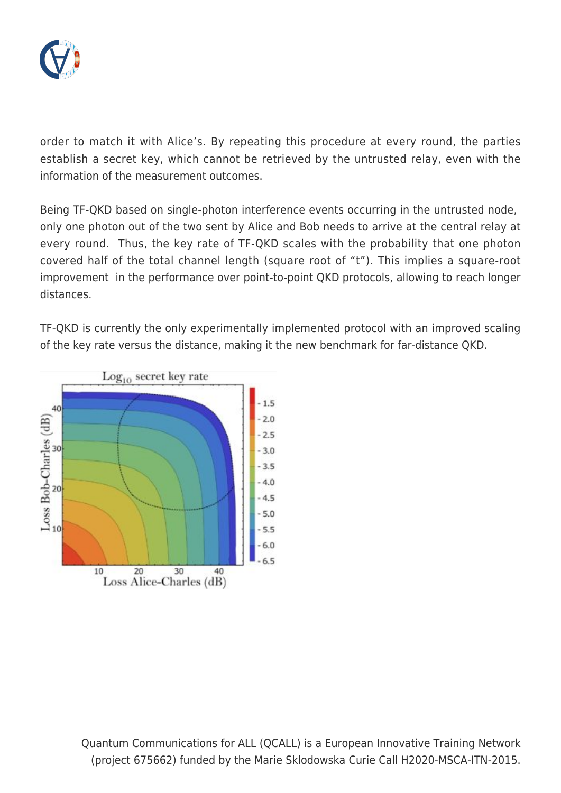

order to match it with Alice's. By repeating this procedure at every round, the parties establish a secret key, which cannot be retrieved by the untrusted relay, even with the information of the measurement outcomes.

Being TF-QKD based on single-photon interference events occurring in the untrusted node, only one photon out of the two sent by Alice and Bob needs to arrive at the central relay at every round. Thus, the key rate of TF-QKD scales with the probability that one photon covered half of the total channel length (square root of "t"). This implies a square-root improvement in the performance over point-to-point QKD protocols, allowing to reach longer distances.

TF-QKD is currently the only experimentally implemented protocol with an improved scaling of the key rate versus the distance, making it the new benchmark for far-distance QKD.

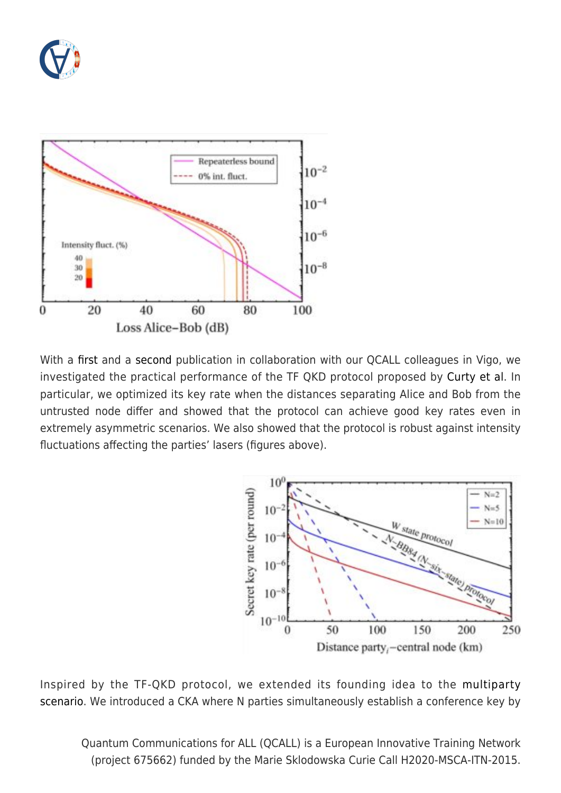



With a [first](https://iopscience.iop.org/article/10.1088/1367-2630/ab2b00) and a [second](https://iopscience.iop.org/article/10.1088/1367-2630/ab520e) publication in collaboration with our QCALL colleagues in Vigo, we investigated the practical performance of the TF QKD protocol proposed by [Curty et al.](https://www.nature.com/articles/s41534-019-0175-6) In particular, we optimized its key rate when the distances separating Alice and Bob from the untrusted node differ and showed that the protocol can achieve good key rates even in extremely asymmetric scenarios. We also showed that the protocol is robust against intensity fluctuations affecting the parties' lasers (figures above).



Inspired by the TF-QKD protocol, we extended its founding idea to the [multiparty](https://iopscience.iop.org/article/10.1088/1367-2630/ab573e) [scenario](https://iopscience.iop.org/article/10.1088/1367-2630/ab573e). We introduced a CKA where N parties simultaneously establish a conference key by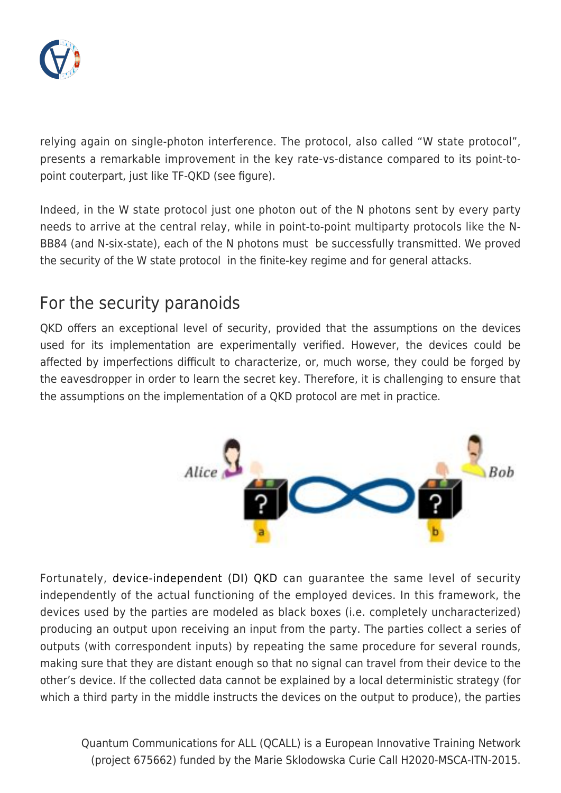

relying again on single-photon interference. The protocol, also called "W state protocol", presents a remarkable improvement in the key rate-vs-distance compared to its point-topoint couterpart, just like TF-QKD (see figure).

Indeed, in the W state protocol just one photon out of the N photons sent by every party needs to arrive at the central relay, while in point-to-point multiparty protocols like the N-BB84 (and N-six-state), each of the N photons must be successfully transmitted. We proved the security of the W state protocol in the finite-key regime and for general attacks.

## For the security paranoids

QKD offers an exceptional level of security, provided that the assumptions on the devices used for its implementation are experimentally verified. However, the devices could be affected by imperfections difficult to characterize, or, much worse, they could be forged by the eavesdropper in order to learn the secret key. Therefore, it is challenging to ensure that the assumptions on the implementation of a QKD protocol are met in practice.



Fortunately, [device-independent \(DI\) QKD](https://en.wikipedia.org/wiki/Device-independent_quantum_cryptography) can guarantee the same level of security independently of the actual functioning of the employed devices. In this framework, the devices used by the parties are modeled as black boxes (i.e. completely uncharacterized) producing an output upon receiving an input from the party. The parties collect a series of outputs (with correspondent inputs) by repeating the same procedure for several rounds, making sure that they are distant enough so that no signal can travel from their device to the other's device. If the collected data cannot be explained by a local deterministic strategy (for which a third party in the middle instructs the devices on the output to produce), the parties